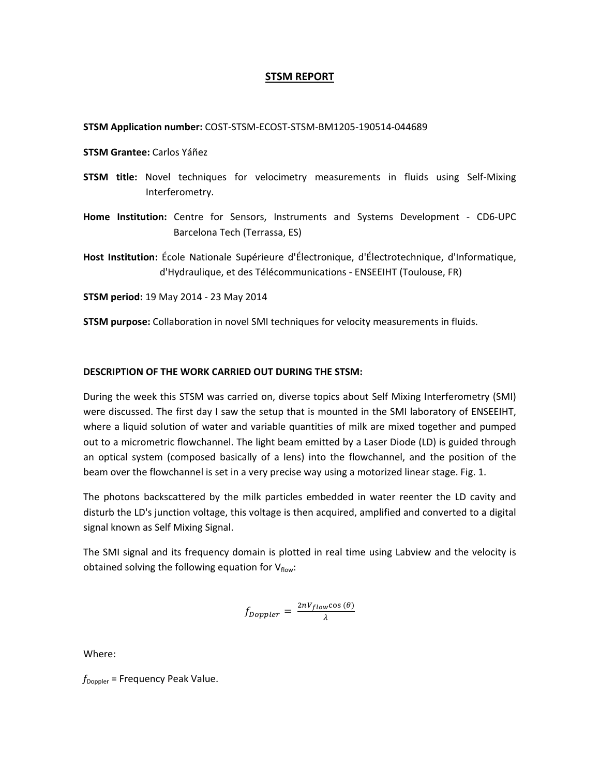### **STSM REPORT**

#### **STSM Application number:** COST‐STSM‐ECOST‐STSM‐BM1205‐190514‐044689

- **STSM Grantee:** Carlos Yáñez
- **STSM title:** Novel techniques for velocimetry measurements in fluids using Self‐Mixing Interferometry.
- **Home Institution:** Centre for Sensors, Instruments and Systems Development ‐ CD6‐UPC Barcelona Tech (Terrassa, ES)

**Host Institution:** École Nationale Supérieure d'Électronique, d'Électrotechnique, d'Informatique, d'Hydraulique, et des Télécommunications ‐ ENSEEIHT (Toulouse, FR)

**STSM period:** 19 May 2014 ‐ 23 May 2014

**STSM purpose:** Collaboration in novel SMI techniques for velocity measurements in fluids.

#### **DESCRIPTION OF THE WORK CARRIED OUT DURING THE STSM:**

During the week this STSM was carried on, diverse topics about Self Mixing Interferometry (SMI) were discussed. The first day I saw the setup that is mounted in the SMI laboratory of ENSEEIHT, where a liquid solution of water and variable quantities of milk are mixed together and pumped out to a micrometric flowchannel. The light beam emitted by a Laser Diode (LD) is guided through an optical system (composed basically of a lens) into the flowchannel, and the position of the beam over the flowchannel is set in a very precise way using a motorized linear stage. Fig. 1.

The photons backscattered by the milk particles embedded in water reenter the LD cavity and disturb the LD's junction voltage, this voltage is then acquired, amplified and converted to a digital signal known as Self Mixing Signal.

The SMI signal and its frequency domain is plotted in real time using Labview and the velocity is obtained solving the following equation for  $V_{flow}$ :

$$
f_{Doppler} = \frac{2nV_{flow}\cos(\theta)}{\lambda}
$$

Where:

 $f_{\text{Doppler}}$  = Frequency Peak Value.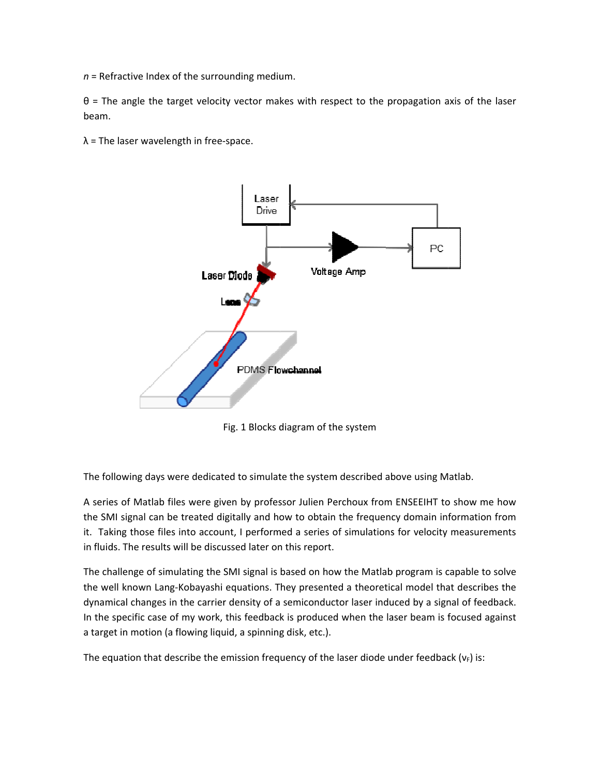$n$  = Refractive Index of the surrounding medium.

 $\theta$  = The angle the target velocity vector makes with respect to the propagation axis of the laser beam.

 $\lambda$  = The laser wavelength in free-space.



Fig. 1 Blocks diagram of the system

The following days were dedicated to simulate the system described above using Matlab.

A series of Matlab files were given by professor Julien Perchoux from ENSEEIHT to show me how the SMI signal can be treated digitally and how to obtain the frequency domain information from it. Taking those files into account, I performed a series of simulations for velocity measurements in fluids. The results will be discussed later on this report.

The challenge of simulating the SMI signal is based on how the Matlab program is capable to solve the well known Lang-Kobayashi equations. They presented a theoretical model that describes the dynamical changes in the carrier density of a semiconductor laser induced by a signal of feedback. In the specific case of my work, this feedback is produced when the laser beam is focused against a target in motion (a flowing liquid, a spinning disk, etc.).

The equation that describe the emission frequency of the laser diode under feedback  $(v_F)$  is: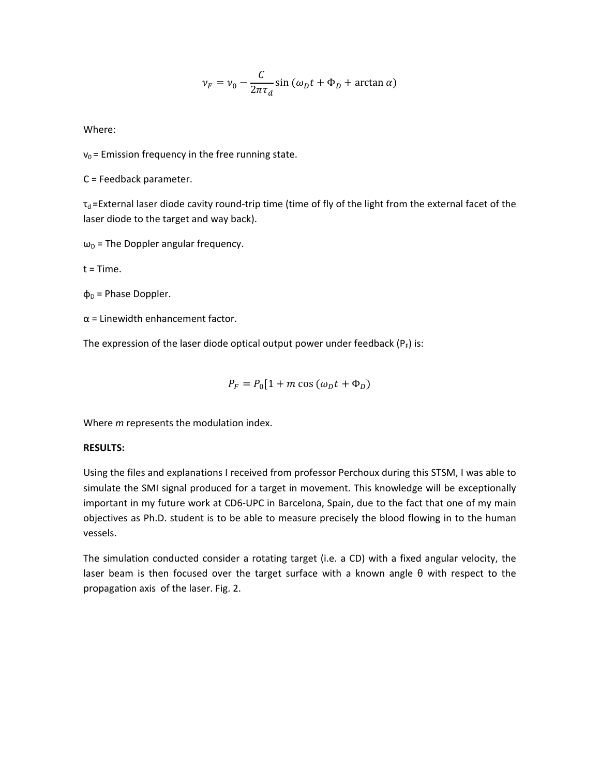$$
\nu_F = \nu_0 - \frac{C}{2\pi\tau_d} \sin\left(\omega_D t + \Phi_D + \arctan\alpha\right)
$$

Where:

 $v_0$  = Emission frequency in the free running state.

 $C = Feedback parameter.$ 

 $\tau_d$  =External laser diode cavity round-trip time (time of fly of the light from the external facet of the laser diode to the target and way back).

 $\omega_{\text{D}}$  = The Doppler angular frequency.

 $t = Time$ .

 $\Phi_D$  = Phase Doppler.

 $\alpha$  = Linewidth enhancement factor.

The expression of the laser diode optical output power under feedback ( $P_F$ ) is:

$$
P_F = P_0[1 + m \cos{(\omega_D t + \Phi_D)}
$$

Where *m* represents the modulation index.

## **RESULTS:**

Using the files and explanations I received from professor Perchoux during this STSM, I was able to simulate the SMI signal produced for a target in movement. This knowledge will be exceptionally important in my future work at CD6-UPC in Barcelona, Spain, due to the fact that one of my main objectives as Ph.D. student is to be able to measure precisely the blood flowing in to the human vessels.

The simulation conducted consider a rotating target (i.e. a CD) with a fixed angular velocity, the laser beam is then focused over the target surface with a known angle  $\theta$  with respect to the propagation axis of the laser. Fig. 2.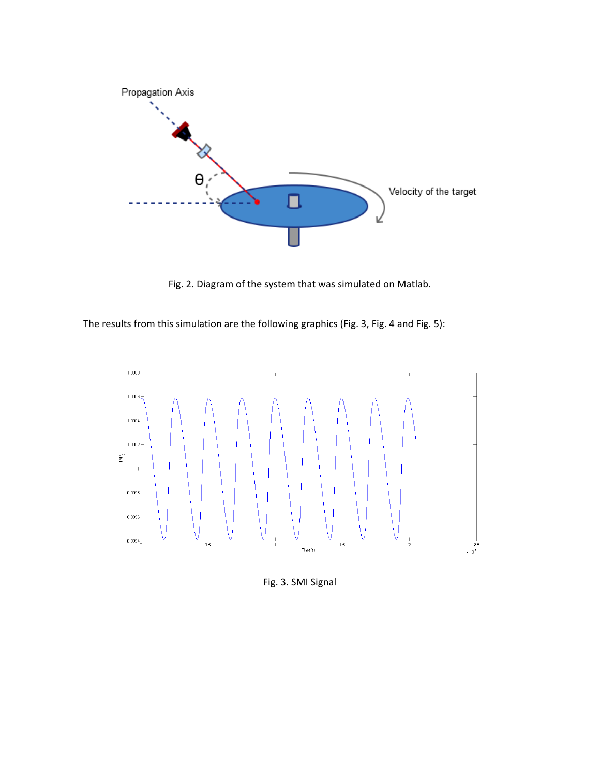

Fig. 2. Diagram of the system that was simulated on Matlab.

The results from this simulation are the following graphics (Fig. 3, Fig. 4 and Fig. 5):



Fig. 3. SMI Signal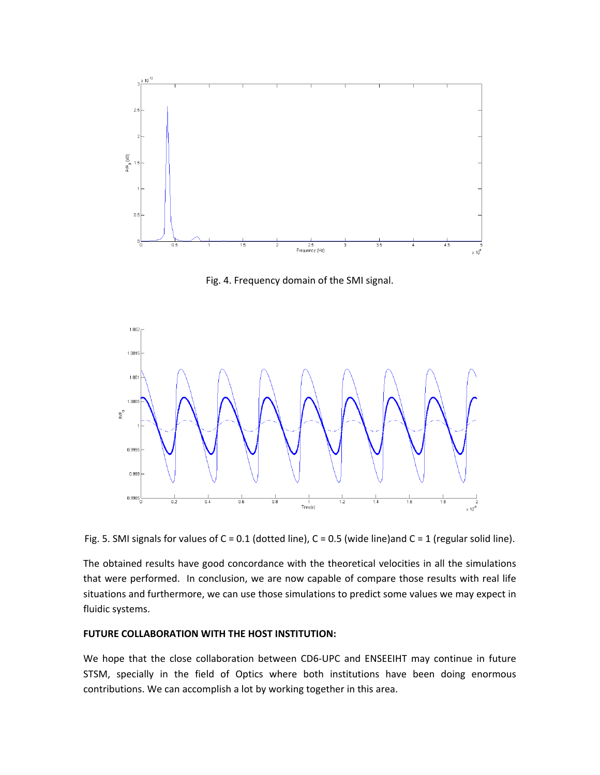

Fig. 4. Frequency domain of the SMI signal.



Fig. 5. SMI signals for values of  $C = 0.1$  (dotted line),  $C = 0.5$  (wide line)and  $C = 1$  (regular solid line).

The obtained results have good concordance with the theoretical velocities in all the simulations that were performed. In conclusion, we are now capable of compare those results with real life situations and furthermore, we can use those simulations to predict some values we may expect in fluidic systems.

### **FUTURE COLLABORATION WITH THE HOST INSTITUTION:**

We hope that the close collaboration between CD6-UPC and ENSEEIHT may continue in future STSM, specially in the field of Optics where both institutions have been doing enormous contributions. We can accomplish a lot by working together in this area.